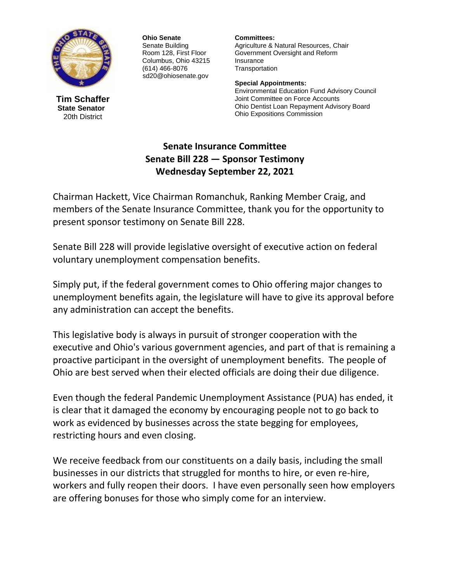

**Tim Schaffer State Senator** 20th District

**Ohio Senate** Senate Building Room 128, First Floor Columbus, Ohio 43215 (614) 466-8076 sd20@ohiosenate.gov

**Committees:** Agriculture & Natural Resources, Chair Government Oversight and Reform Insurance **Transportation** 

**Special Appointments:** Environmental Education Fund Advisory Council Joint Committee on Force Accounts Ohio Dentist Loan Repayment Advisory Board Ohio Expositions Commission

## **Senate Insurance Committee Senate Bill 228 — Sponsor Testimony Wednesday September 22, 2021**

Chairman Hackett, Vice Chairman Romanchuk, Ranking Member Craig, and members of the Senate Insurance Committee, thank you for the opportunity to present sponsor testimony on Senate Bill 228.

Senate Bill 228 will provide legislative oversight of executive action on federal voluntary unemployment compensation benefits.

Simply put, if the federal government comes to Ohio offering major changes to unemployment benefits again, the legislature will have to give its approval before any administration can accept the benefits.

This legislative body is always in pursuit of stronger cooperation with the executive and Ohio's various government agencies, and part of that is remaining a proactive participant in the oversight of unemployment benefits. The people of Ohio are best served when their elected officials are doing their due diligence.

Even though the federal Pandemic Unemployment Assistance (PUA) has ended, it is clear that it damaged the economy by encouraging people not to go back to work as evidenced by businesses across the state begging for employees, restricting hours and even closing.

We receive feedback from our constituents on a daily basis, including the small businesses in our districts that struggled for months to hire, or even re-hire, workers and fully reopen their doors. I have even personally seen how employers are offering bonuses for those who simply come for an interview.